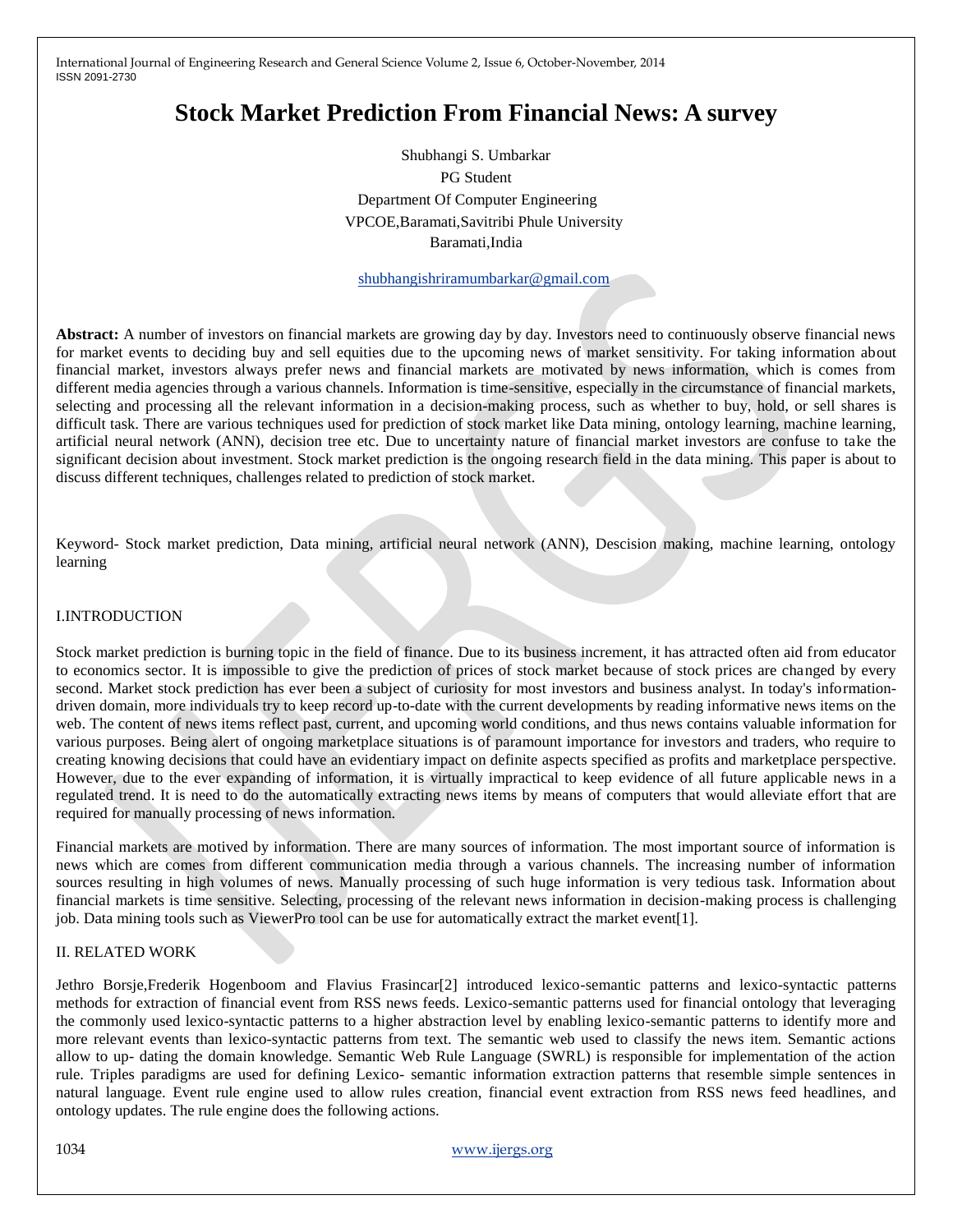# **Stock Market Prediction From Financial News: A survey**

Shubhangi S. Umbarkar PG Student Department Of Computer Engineering VPCOE,Baramati,Savitribi Phule University Baramati,India

[shubhangishriramumbarkar@gmail.com](mailto:kanifhirave29@gmail.com)

**Abstract:** A number of investors on financial markets are growing day by day. Investors need to continuously observe financial news for market events to deciding buy and sell equities due to the upcoming news of market sensitivity. For taking information about financial market, investors always prefer news and financial markets are motivated by news information, which is comes from different media agencies through a various channels. Information is time-sensitive, especially in the circumstance of financial markets, selecting and processing all the relevant information in a decision-making process, such as whether to buy, hold, or sell shares is difficult task. There are various techniques used for prediction of stock market like Data mining, ontology learning, machine learning, artificial neural network (ANN), decision tree etc. Due to uncertainty nature of financial market investors are confuse to take the significant decision about investment. Stock market prediction is the ongoing research field in the data mining. This paper is about to discuss different techniques, challenges related to prediction of stock market.

Keyword- Stock market prediction, Data mining, artificial neural network (ANN), Descision making, machine learning, ontology learning

## I.INTRODUCTION

Stock market prediction is burning topic in the field of finance. Due to its business increment, it has attracted often aid from educator to economics sector. It is impossible to give the prediction of prices of stock market because of stock prices are changed by every second. Market stock prediction has ever been a subject of curiosity for most investors and business analyst. In today's informationdriven domain, more individuals try to keep record up-to-date with the current developments by reading informative news items on the web. The content of news items reflect past, current, and upcoming world conditions, and thus news contains valuable information for various purposes. Being alert of ongoing marketplace situations is of paramount importance for investors and traders, who require to creating knowing decisions that could have an evidentiary impact on definite aspects specified as profits and marketplace perspective. However, due to the ever expanding of information, it is virtually impractical to keep evidence of all future applicable news in a regulated trend. It is need to do the automatically extracting news items by means of computers that would alleviate effort that are required for manually processing of news information.

Financial markets are motived by information. There are many sources of information. The most important source of information is news which are comes from different communication media through a various channels. The increasing number of information sources resulting in high volumes of news. Manually processing of such huge information is very tedious task. Information about financial markets is time sensitive. Selecting, processing of the relevant news information in decision-making process is challenging job. Data mining tools such as ViewerPro tool can be use for automatically extract the market event[1].

#### II. RELATED WORK

Jethro Borsje,Frederik Hogenboom and Flavius Frasincar[2] introduced lexico-semantic patterns and lexico-syntactic patterns methods for extraction of financial event from RSS news feeds. Lexico-semantic patterns used for financial ontology that leveraging the commonly used lexico-syntactic patterns to a higher abstraction level by enabling lexico-semantic patterns to identify more and more relevant events than lexico-syntactic patterns from text. The semantic web used to classify the news item. Semantic actions allow to up- dating the domain knowledge. Semantic Web Rule Language (SWRL) is responsible for implementation of the action rule. Triples paradigms are used for defining Lexico- semantic information extraction patterns that resemble simple sentences in natural language. Event rule engine used to allow rules creation, financial event extraction from RSS news feed headlines, and ontology updates. The rule engine does the following actions.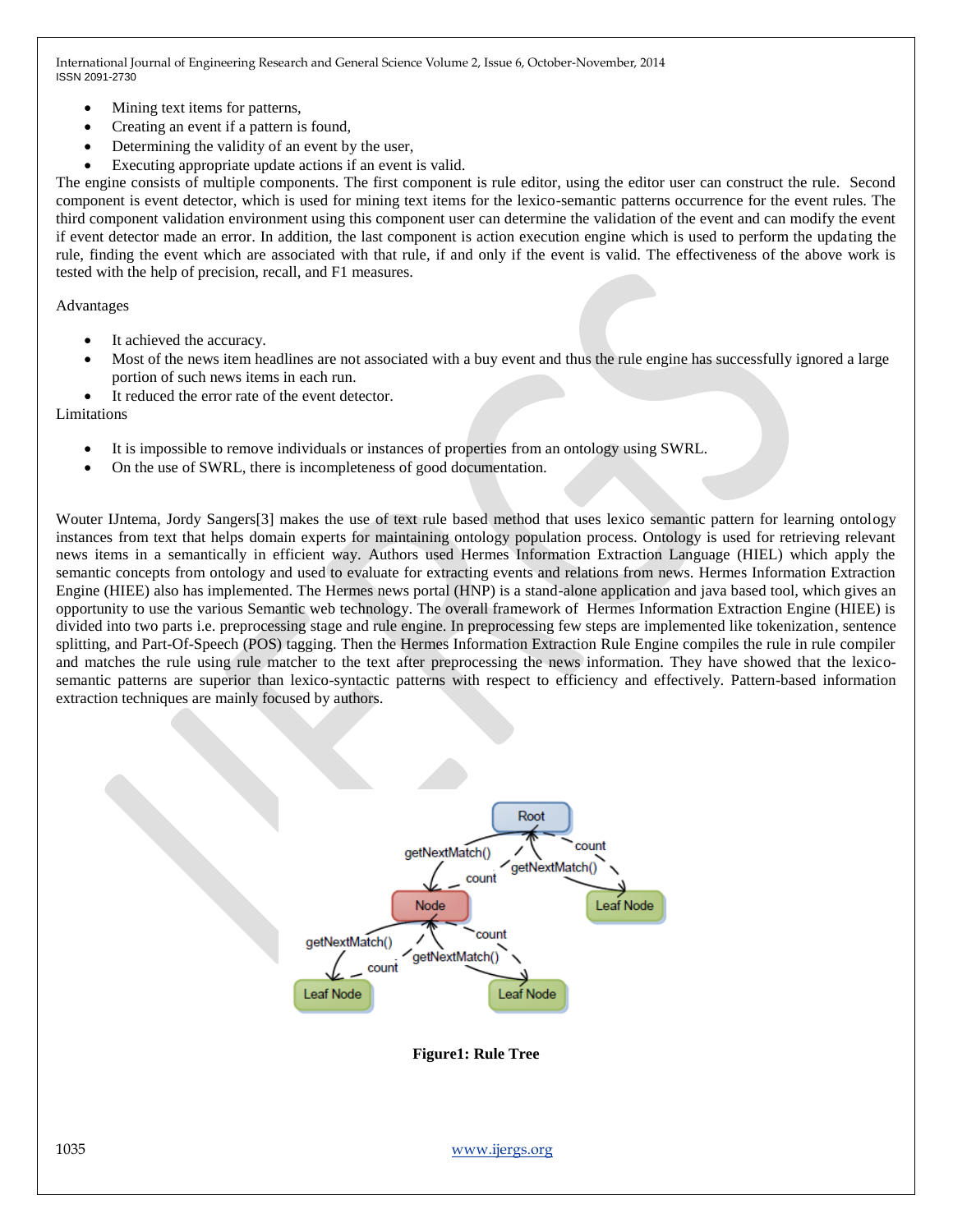- Mining text items for patterns,
- Creating an event if a pattern is found,
- Determining the validity of an event by the user,
- Executing appropriate update actions if an event is valid.

The engine consists of multiple components. The first component is rule editor, using the editor user can construct the rule. Second component is event detector, which is used for mining text items for the lexico-semantic patterns occurrence for the event rules. The third component validation environment using this component user can determine the validation of the event and can modify the event if event detector made an error. In addition, the last component is action execution engine which is used to perform the updating the rule, finding the event which are associated with that rule, if and only if the event is valid. The effectiveness of the above work is tested with the help of precision, recall, and F1 measures.

Advantages

- It achieved the accuracy.
- Most of the news item headlines are not associated with a buy event and thus the rule engine has successfully ignored a large portion of such news items in each run.
- It reduced the error rate of the event detector.

Limitations

- It is impossible to remove individuals or instances of properties from an ontology using SWRL.
- On the use of SWRL, there is incompleteness of good documentation.

Wouter IJntema, Jordy Sangers[3] makes the use of text rule based method that uses lexico semantic pattern for learning ontology instances from text that helps domain experts for maintaining ontology population process. Ontology is used for retrieving relevant news items in a semantically in efficient way. Authors used Hermes Information Extraction Language (HIEL) which apply the semantic concepts from ontology and used to evaluate for extracting events and relations from news. Hermes Information Extraction Engine (HIEE) also has implemented. The Hermes news portal (HNP) is a stand-alone application and java based tool, which gives an opportunity to use the various Semantic web technology. The overall framework of Hermes Information Extraction Engine (HIEE) is divided into two parts i.e. preprocessing stage and rule engine. In preprocessing few steps are implemented like tokenization, sentence splitting, and Part-Of-Speech (POS) tagging. Then the Hermes Information Extraction Rule Engine compiles the rule in rule compiler and matches the rule using rule matcher to the text after preprocessing the news information. They have showed that the lexicosemantic patterns are superior than lexico-syntactic patterns with respect to efficiency and effectively. Pattern-based information extraction techniques are mainly focused by authors.



**Figure1: Rule Tree**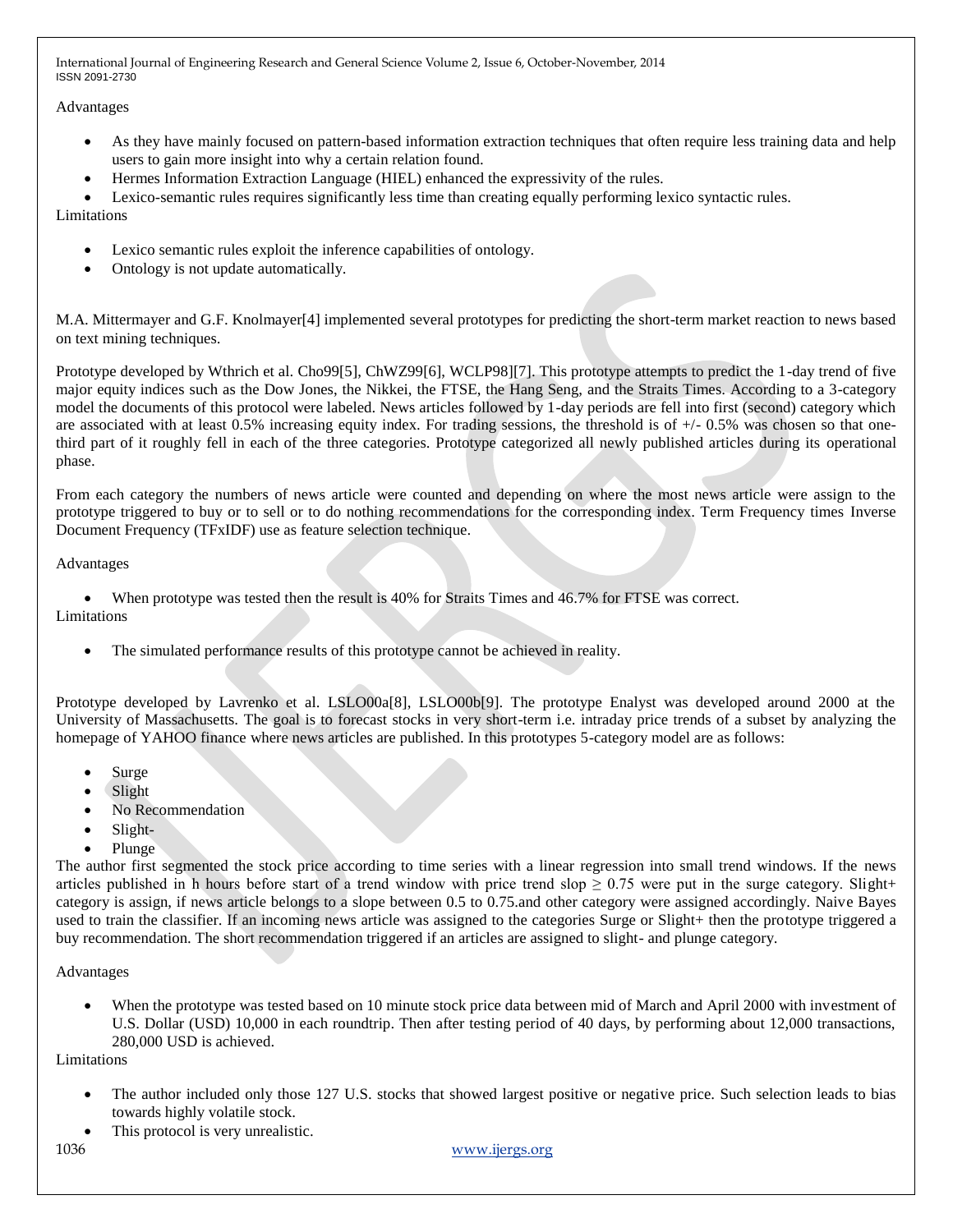# Advantages

- As they have mainly focused on pattern-based information extraction techniques that often require less training data and help users to gain more insight into why a certain relation found.
- Hermes Information Extraction Language (HIEL) enhanced the expressivity of the rules.
- Lexico-semantic rules requires significantly less time than creating equally performing lexico syntactic rules.

Limitations

- Lexico semantic rules exploit the inference capabilities of ontology.
- Ontology is not update automatically.

M.A. Mittermayer and G.F. Knolmayer[4] implemented several prototypes for predicting the short-term market reaction to news based on text mining techniques.

Prototype developed by Wthrich et al. Cho99[5], ChWZ99[6], WCLP98][7]. This prototype attempts to predict the 1-day trend of five major equity indices such as the Dow Jones, the Nikkei, the FTSE, the Hang Seng, and the Straits Times. According to a 3-category model the documents of this protocol were labeled. News articles followed by 1-day periods are fell into first (second) category which are associated with at least 0.5% increasing equity index. For trading sessions, the threshold is of  $+/-0.5\%$  was chosen so that onethird part of it roughly fell in each of the three categories. Prototype categorized all newly published articles during its operational phase.

From each category the numbers of news article were counted and depending on where the most news article were assign to the prototype triggered to buy or to sell or to do nothing recommendations for the corresponding index. Term Frequency times Inverse Document Frequency (TFxIDF) use as feature selection technique.

Advantages

When prototype was tested then the result is 40% for Straits Times and 46.7% for FTSE was correct.

Limitations

The simulated performance results of this prototype cannot be achieved in reality.

Prototype developed by Lavrenko et al. LSLO00a[8], LSLO00b[9]. The prototype Enalyst was developed around 2000 at the University of Massachusetts. The goal is to forecast stocks in very short-term i.e. intraday price trends of a subset by analyzing the homepage of YAHOO finance where news articles are published. In this prototypes 5-category model are as follows:

- Surge
- Slight
- No Recommendation
- Slight-
- Plunge

The author first segmented the stock price according to time series with a linear regression into small trend windows. If the news articles published in h hours before start of a trend window with price trend slop  $\geq 0.75$  were put in the surge category. Slight+ category is assign, if news article belongs to a slope between 0.5 to 0.75.and other category were assigned accordingly. Naive Bayes used to train the classifier. If an incoming news article was assigned to the categories Surge or Slight+ then the prototype triggered a buy recommendation. The short recommendation triggered if an articles are assigned to slight- and plunge category.

Advantages

 When the prototype was tested based on 10 minute stock price data between mid of March and April 2000 with investment of U.S. Dollar (USD) 10,000 in each roundtrip. Then after testing period of 40 days, by performing about 12,000 transactions, 280,000 USD is achieved.

Limitations

- The author included only those 127 U.S. stocks that showed largest positive or negative price. Such selection leads to bias towards highly volatile stock.
- This protocol is very unrealistic.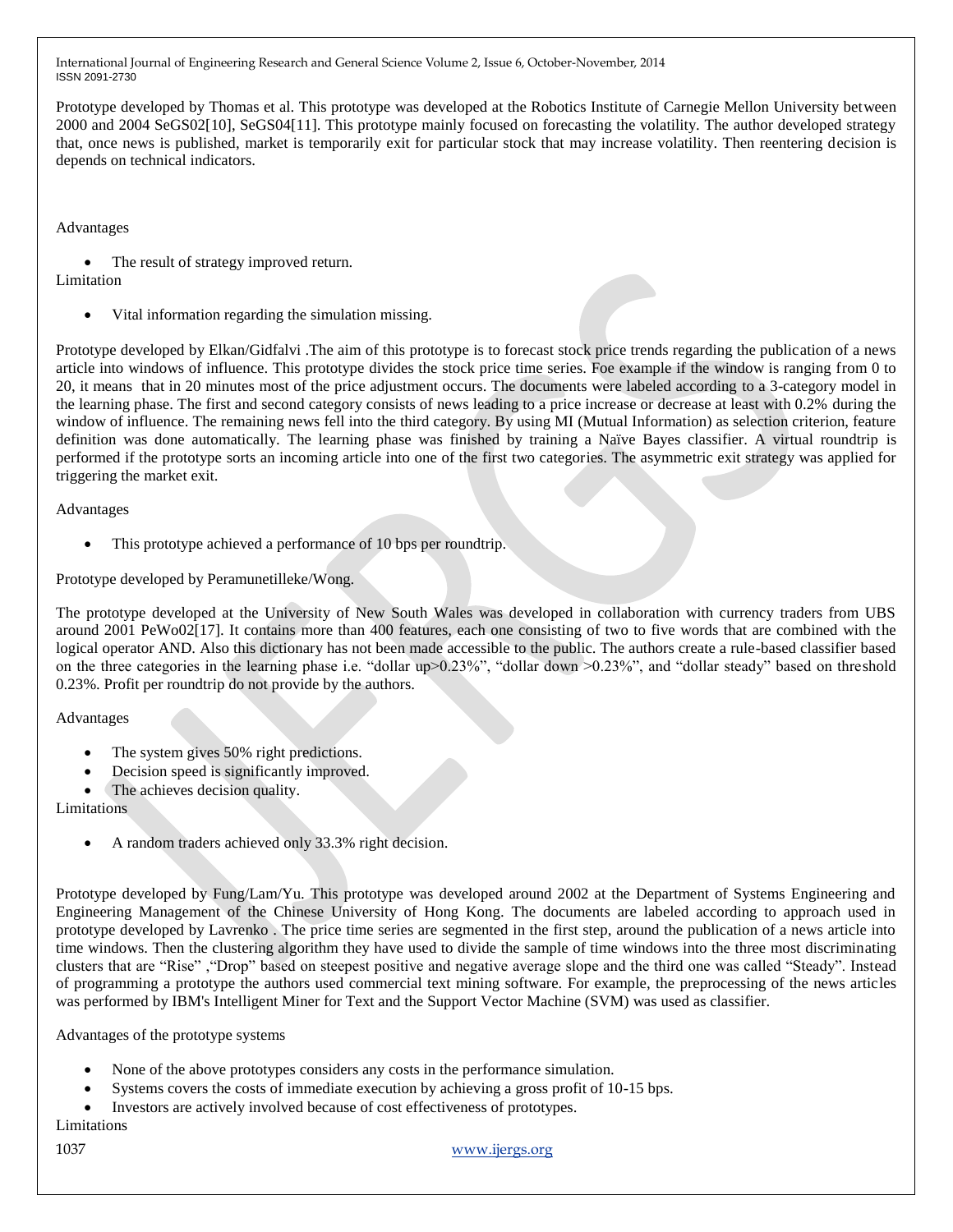Prototype developed by Thomas et al. This prototype was developed at the Robotics Institute of Carnegie Mellon University between 2000 and 2004 SeGS02[10], SeGS04[11]. This prototype mainly focused on forecasting the volatility. The author developed strategy that, once news is published, market is temporarily exit for particular stock that may increase volatility. Then reentering decision is depends on technical indicators.

## Advantages

The result of strategy improved return.

# Limitation

Vital information regarding the simulation missing.

Prototype developed by Elkan/Gidfalvi .The aim of this prototype is to forecast stock price trends regarding the publication of a news article into windows of influence. This prototype divides the stock price time series. Foe example if the window is ranging from 0 to 20, it means that in 20 minutes most of the price adjustment occurs. The documents were labeled according to a 3-category model in the learning phase. The first and second category consists of news leading to a price increase or decrease at least with 0.2% during the window of influence. The remaining news fell into the third category. By using MI (Mutual Information) as selection criterion, feature definition was done automatically. The learning phase was finished by training a Naïve Bayes classifier. A virtual roundtrip is performed if the prototype sorts an incoming article into one of the first two categories. The asymmetric exit strategy was applied for triggering the market exit.

Advantages

This prototype achieved a performance of 10 bps per roundtrip.

Prototype developed by Peramunetilleke/Wong.

The prototype developed at the University of New South Wales was developed in collaboration with currency traders from UBS around 2001 PeWo02[17]. It contains more than 400 features, each one consisting of two to five words that are combined with the logical operator AND. Also this dictionary has not been made accessible to the public. The authors create a rule-based classifier based on the three categories in the learning phase i.e. "dollar up>0.23%", "dollar down >0.23%", and "dollar steady" based on threshold 0.23%. Profit per roundtrip do not provide by the authors.

## Advantages

- The system gives 50% right predictions.
- Decision speed is significantly improved.
- The achieves decision quality.

Limitations

A random traders achieved only 33.3% right decision.

Prototype developed by Fung/Lam/Yu. This prototype was developed around 2002 at the Department of Systems Engineering and Engineering Management of the Chinese University of Hong Kong. The documents are labeled according to approach used in prototype developed by Lavrenko . The price time series are segmented in the first step, around the publication of a news article into time windows. Then the clustering algorithm they have used to divide the sample of time windows into the three most discriminating clusters that are "Rise" ,"Drop" based on steepest positive and negative average slope and the third one was called "Steady". Instead of programming a prototype the authors used commercial text mining software. For example, the preprocessing of the news articles was performed by IBM's Intelligent Miner for Text and the Support Vector Machine (SVM) was used as classifier.

Advantages of the prototype systems

- None of the above prototypes considers any costs in the performance simulation.
- Systems covers the costs of immediate execution by achieving a gross profit of 10-15 bps.
- Investors are actively involved because of cost effectiveness of prototypes.

Limitations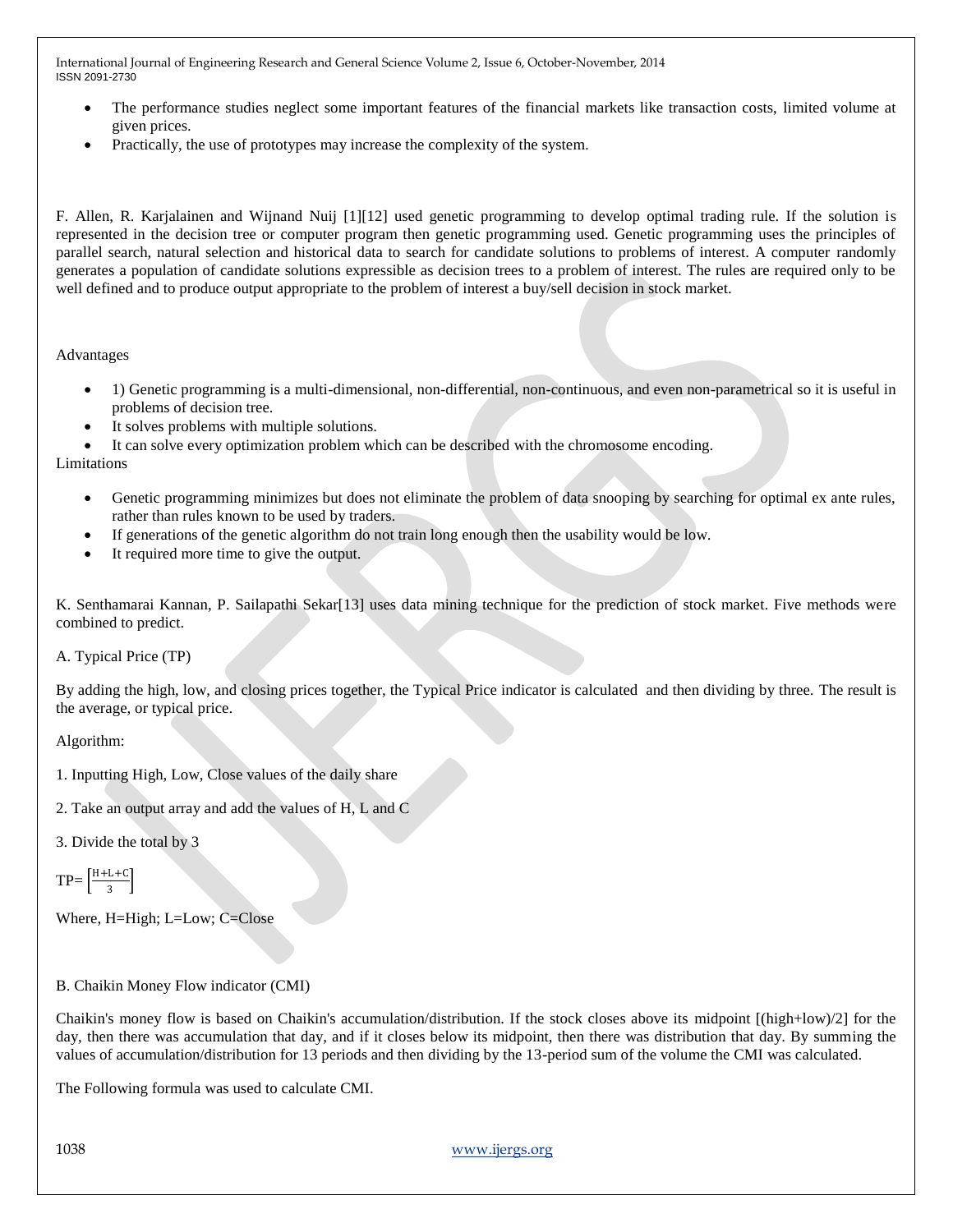- The performance studies neglect some important features of the financial markets like transaction costs, limited volume at given prices.
- Practically, the use of prototypes may increase the complexity of the system.

F. Allen, R. Karjalainen and Wijnand Nuij [1][12] used genetic programming to develop optimal trading rule. If the solution is represented in the decision tree or computer program then genetic programming used. Genetic programming uses the principles of parallel search, natural selection and historical data to search for candidate solutions to problems of interest. A computer randomly generates a population of candidate solutions expressible as decision trees to a problem of interest. The rules are required only to be well defined and to produce output appropriate to the problem of interest a buy/sell decision in stock market.

Advantages

- 1) Genetic programming is a multi-dimensional, non-differential, non-continuous, and even non-parametrical so it is useful in problems of decision tree.
- It solves problems with multiple solutions.
- It can solve every optimization problem which can be described with the chromosome encoding.

Limitations

- Genetic programming minimizes but does not eliminate the problem of data snooping by searching for optimal ex ante rules, rather than rules known to be used by traders.
- If generations of the genetic algorithm do not train long enough then the usability would be low.
- It required more time to give the output.

K. Senthamarai Kannan, P. Sailapathi Sekar[13] uses data mining technique for the prediction of stock market. Five methods were combined to predict.

A. Typical Price (TP)

By adding the high, low, and closing prices together, the Typical Price indicator is calculated and then dividing by three. The result is the average, or typical price.

Algorithm:

- 1. Inputting High, Low, Close values of the daily share
- 2. Take an output array and add the values of H, L and C
- 3. Divide the total by 3

```
TP = \frac{H+L+C}{2}\frac{1+\epsilon}{3}
```
- Where, H=High; L=Low; C=Close
- B. Chaikin Money Flow indicator (CMI)

Chaikin's money flow is based on Chaikin's accumulation/distribution. If the stock closes above its midpoint [(high+low)/2] for the day, then there was accumulation that day, and if it closes below its midpoint, then there was distribution that day. By summing the values of accumulation/distribution for 13 periods and then dividing by the 13-period sum of the volume the CMI was calculated.

The Following formula was used to calculate CMI.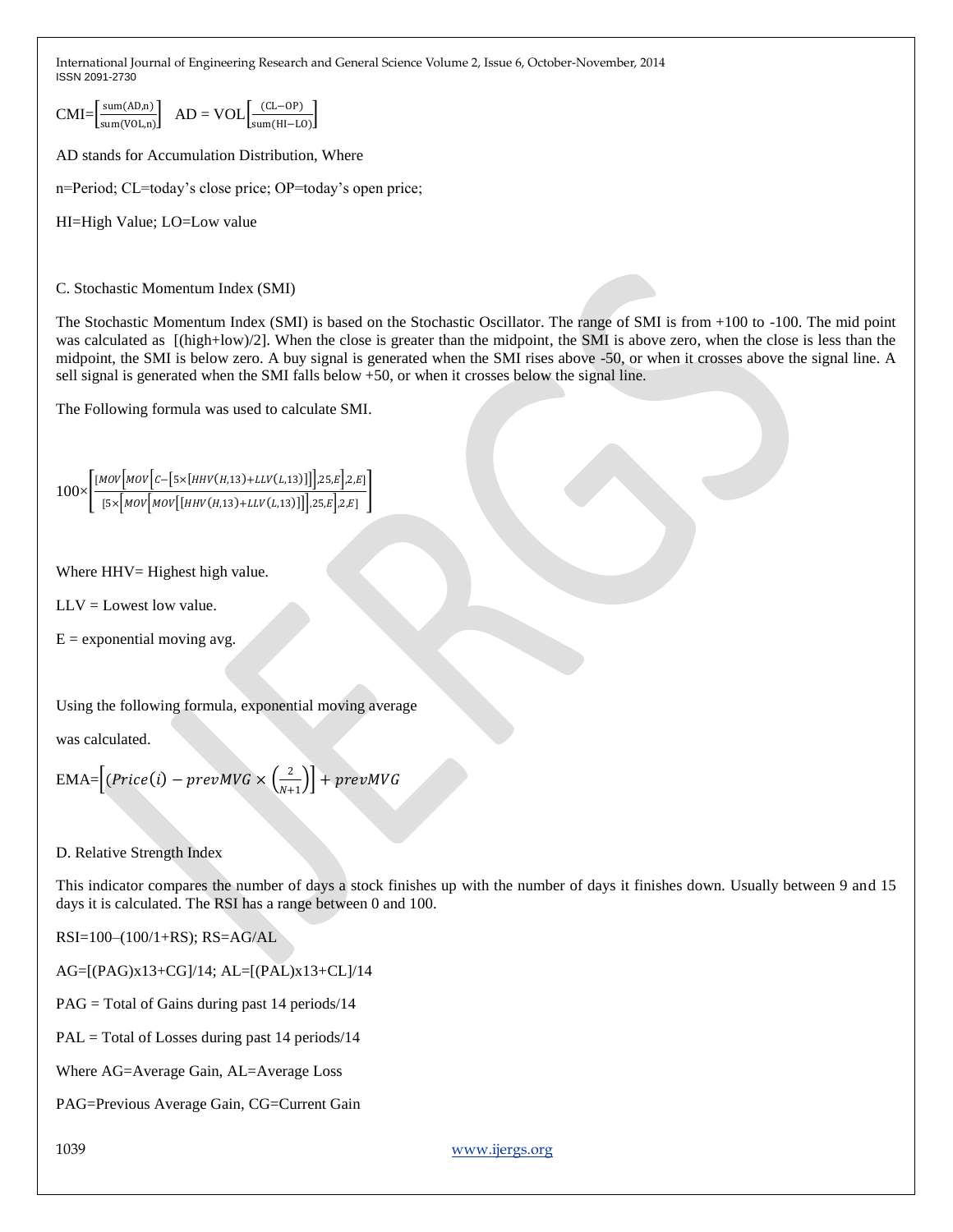$CMI = \frac{\text{sum}(AD,n)}{\text{max}}$  $\frac{\text{sum}(AD,n)}{\text{sum}(VOL,n)}$  AD = VOL $\left[\frac{(CL-OP)}{\text{sum}(HI-L)}\right]$  $\frac{(CL-OF)}{sum(H-IO)}$ 

AD stands for Accumulation Distribution, Where

n=Period; CL=today's close price; OP=today's open price;

HI=High Value; LO=Low value

C. Stochastic Momentum Index (SMI)

The Stochastic Momentum Index (SMI) is based on the Stochastic Oscillator. The range of SMI is from +100 to -100. The mid point was calculated as  $[(high+low)/2]$ . When the close is greater than the midpoint, the SMI is above zero, when the close is less than the midpoint, the SMI is below zero. A buy signal is generated when the SMI rises above -50, or when it crosses above the signal line. A sell signal is generated when the SMI falls below +50, or when it crosses below the signal line.

The Following formula was used to calculate SMI.

$$
100 \times \left[ \frac{[MOV\left[MOV\left[C - \left[5 \times \left[HHV\left(H,13\right) + LLV\left(L,13\right)\right]\right]\right], 25, E\right], 2, E]}{[5 \times \left[MOV\left[MOV\left[\left(HHV\left(H,13\right) + LLV\left(L,13\right)\right]\right]\right], 25, E\right], 2, E]}\right]
$$

Where HHV= Highest high value.

 $LLV =$  Lowest low value.

 $E =$  exponential moving avg.

Using the following formula, exponential moving average

was calculated.

$$
EMA = [(Price(i) - prevMVG \times \left(\frac{2}{N+1}\right)] + prevMVG
$$

D. Relative Strength Index

This indicator compares the number of days a stock finishes up with the number of days it finishes down. Usually between 9 and 15 days it is calculated. The RSI has a range between 0 and 100.

RSI=100–(100/1+RS); RS=AG/AL

AG=[(PAG)x13+CG]/14; AL=[(PAL)x13+CL]/14

PAG = Total of Gains during past 14 periods/14

PAL = Total of Losses during past 14 periods/14

Where AG=Average Gain, AL=Average Loss

PAG=Previous Average Gain, CG=Current Gain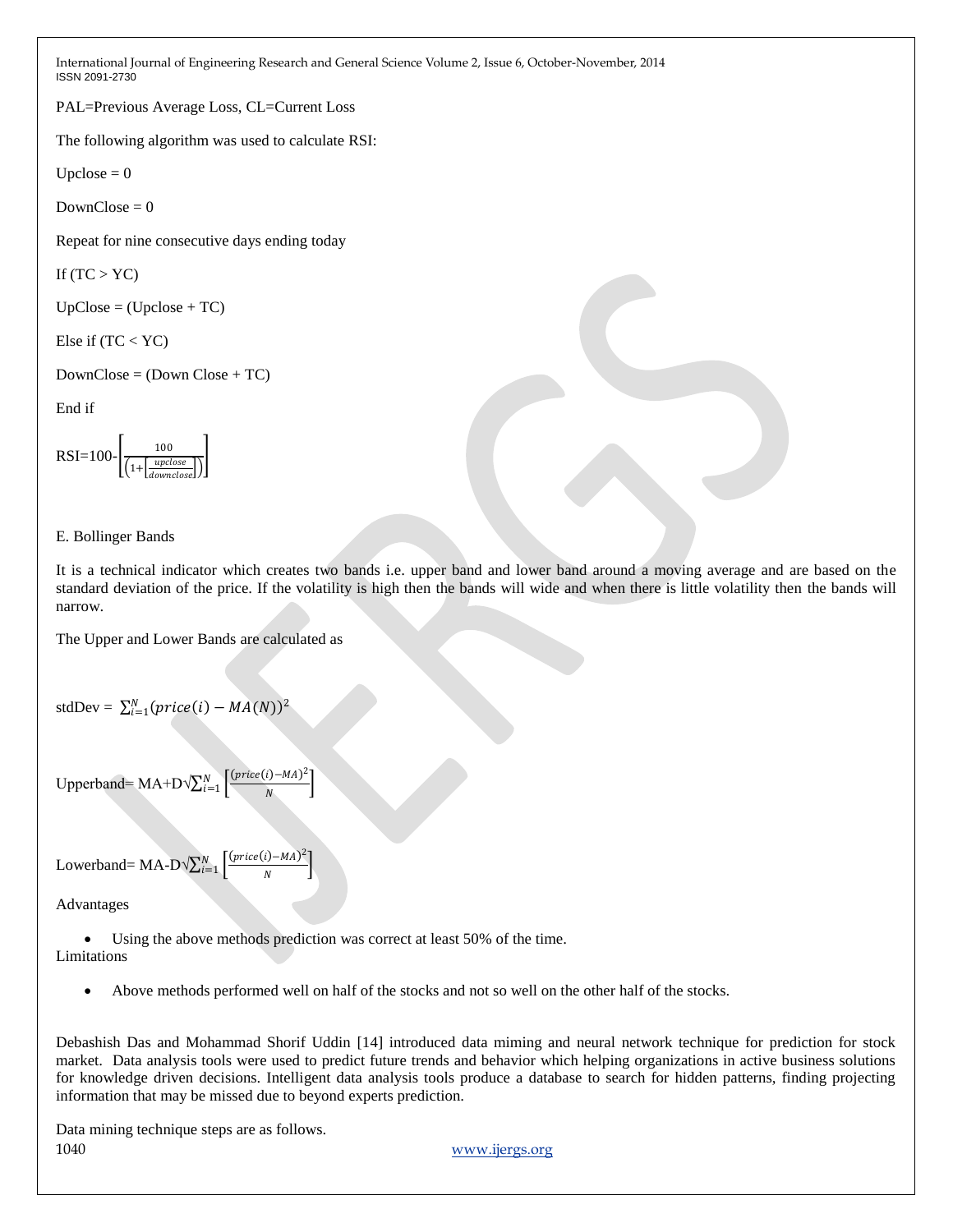PAL=Previous Average Loss, CL=Current Loss

The following algorithm was used to calculate RSI:

Upclose  $= 0$ 

 $DownClose = 0$ 

Repeat for nine consecutive days ending today

If  $(TC > YC)$ 

 $UpClose = (Upclose + TC)$ 

Else if (TC < YC)

```
DownClose = (Down Close + TC)
```
End if

$$
RSI = 100 - \left[ \frac{100}{\left( 1 + \left[ \frac{upclose}{downclose} \right] \right)} \right]
$$

# E. Bollinger Bands

It is a technical indicator which creates two bands i.e. upper band and lower band around a moving average and are based on the standard deviation of the price. If the volatility is high then the bands will wide and when there is little volatility then the bands will narrow.

The Upper and Lower Bands are calculated as

```
stdDev = \sum_{i=1}^{N} (price(i) - MA(N))^2
```

```
Upperband= MA+D\sqrt{\sum_{i=1}^{N} \left[ \frac{(price(i) - MA)^2}{M}\right]^{2}}\binom{N}{i=1} \frac{(price(i)-MA)^2}{N}
```
Lowerband= MA-D $\sqrt{\sum_{i=1}^{N} \left[ \frac{(price(i) - MA)^2}{M}\right]^{2}}$  $\binom{N}{i=1}$   $\left\lfloor \frac{(price(i)-MA)^2}{N} \right\rfloor$ 

Advantages

 Using the above methods prediction was correct at least 50% of the time. Limitations

Above methods performed well on half of the stocks and not so well on the other half of the stocks.

Debashish Das and Mohammad Shorif Uddin [14] introduced data miming and neural network technique for prediction for stock market. Data analysis tools were used to predict future trends and behavior which helping organizations in active business solutions for knowledge driven decisions. Intelligent data analysis tools produce a database to search for hidden patterns, finding projecting information that may be missed due to beyond experts prediction.

1040 www.ijergs.org Data mining technique steps are as follows.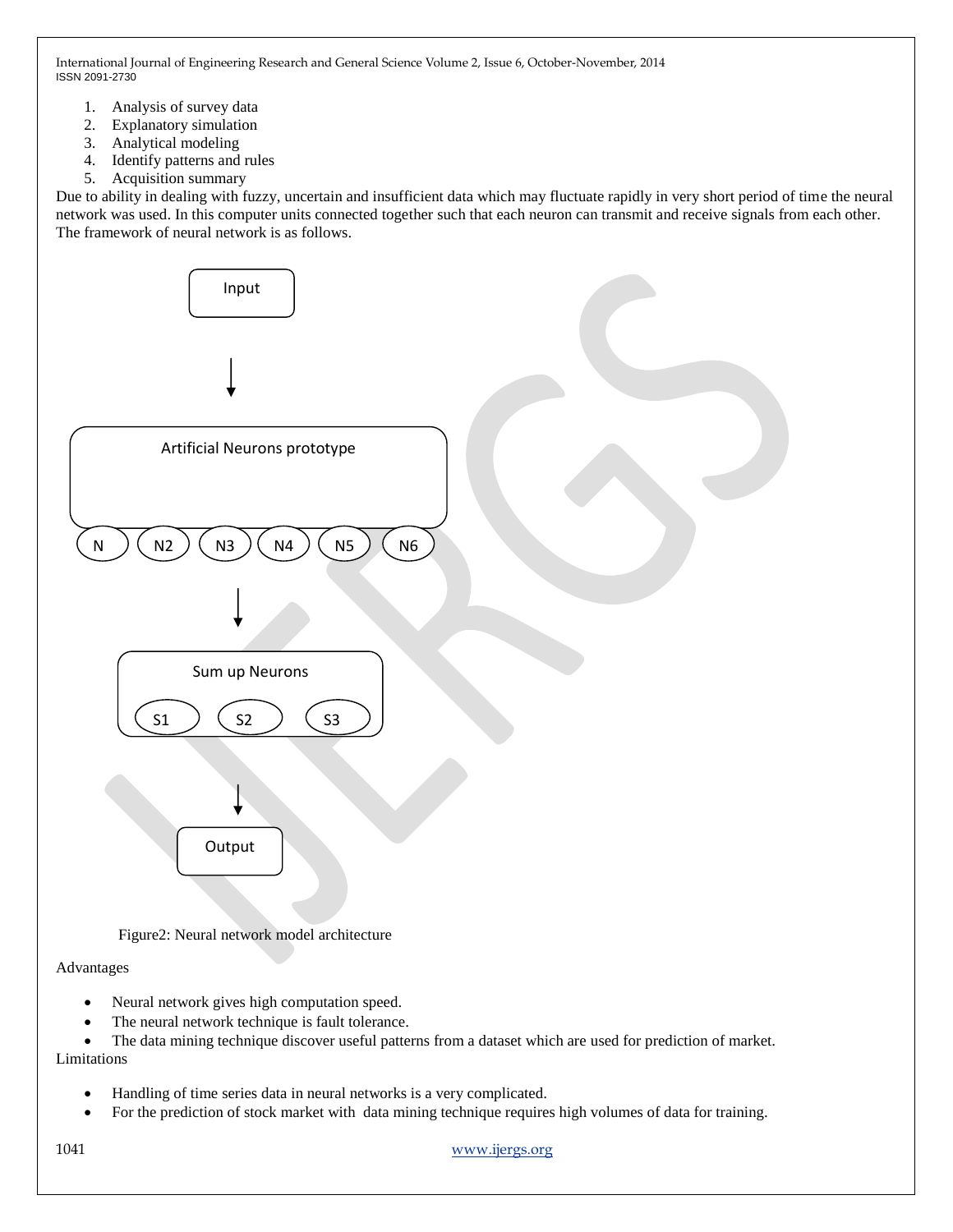- 1. Analysis of survey data
- 2. Explanatory simulation
- 3. Analytical modeling
- 4. Identify patterns and rules
- 5. Acquisition summary

Due to ability in dealing with fuzzy, uncertain and insufficient data which may fluctuate rapidly in very short period of time the neural network was used. In this computer units connected together such that each neuron can transmit and receive signals from each other. The framework of neural network is as follows.



Figure2: Neural network model architecture

## Advantages

- Neural network gives high computation speed.
- The neural network technique is fault tolerance.

 The data mining technique discover useful patterns from a dataset which are used for prediction of market. Limitations

- Handling of time series data in neural networks is a very complicated.
- For the prediction of stock market with data mining technique requires high volumes of data for training.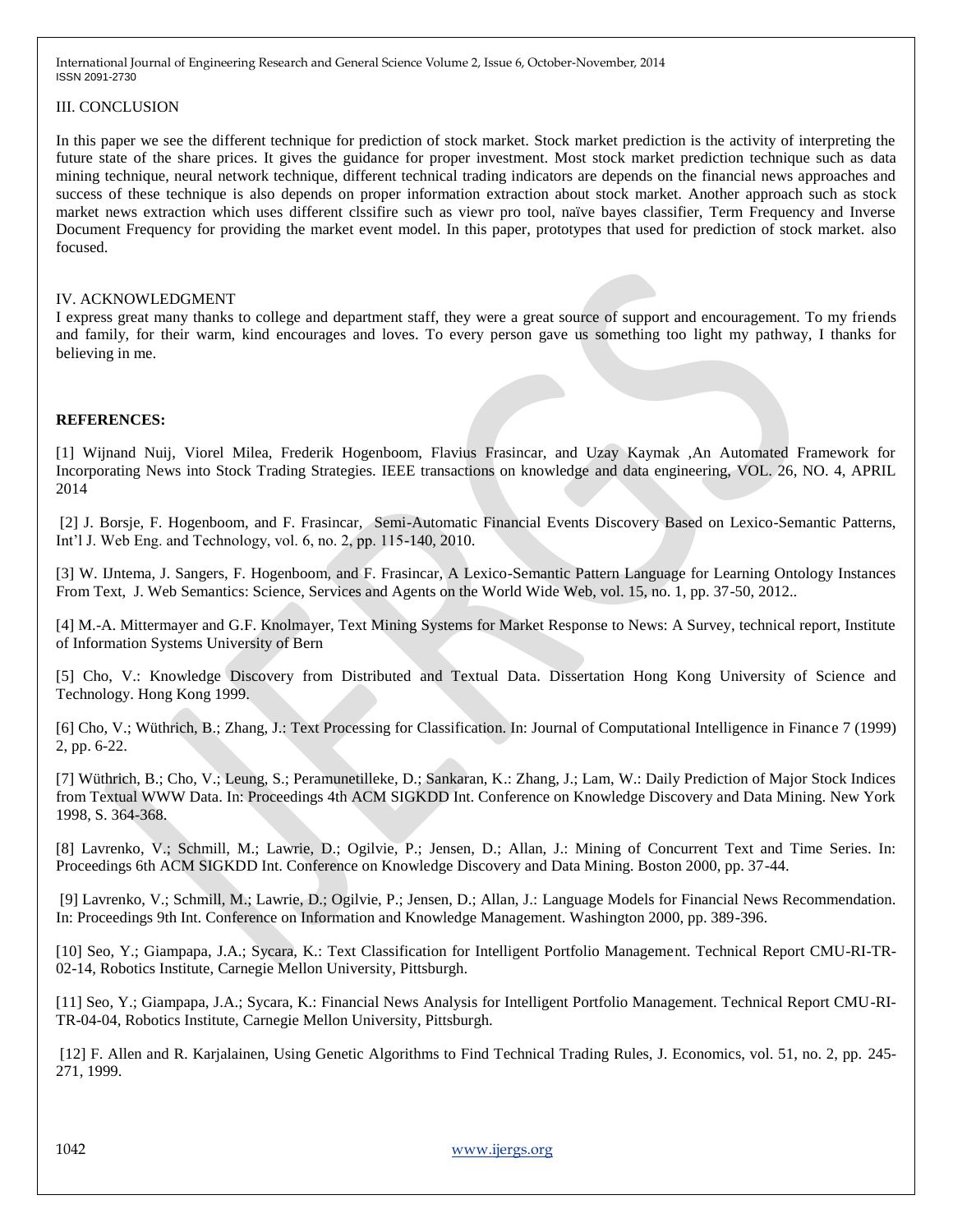# III. CONCLUSION

In this paper we see the different technique for prediction of stock market. Stock market prediction is the activity of interpreting the future state of the share prices. It gives the guidance for proper investment. Most stock market prediction technique such as data mining technique, neural network technique, different technical trading indicators are depends on the financial news approaches and success of these technique is also depends on proper information extraction about stock market. Another approach such as stock market news extraction which uses different clssifire such as viewr pro tool, naïve bayes classifier, Term Frequency and Inverse Document Frequency for providing the market event model. In this paper, prototypes that used for prediction of stock market. also focused.

## IV. ACKNOWLEDGMENT

I express great many thanks to college and department staff, they were a great source of support and encouragement. To my friends and family, for their warm, kind encourages and loves. To every person gave us something too light my pathway, I thanks for believing in me.

# **REFERENCES:**

[1] Wijnand Nuij, Viorel Milea, Frederik Hogenboom, Flavius Frasincar, and Uzay Kaymak ,An Automated Framework for Incorporating News into Stock Trading Strategies. IEEE transactions on knowledge and data engineering, VOL. 26, NO. 4, APRIL 2014

[2] J. Borsje, F. Hogenboom, and F. Frasincar, Semi-Automatic Financial Events Discovery Based on Lexico-Semantic Patterns, Int'l J. Web Eng. and Technology, vol. 6, no. 2, pp. 115-140, 2010.

[3] W. IJntema, J. Sangers, F. Hogenboom, and F. Frasincar, A Lexico-Semantic Pattern Language for Learning Ontology Instances From Text, J. Web Semantics: Science, Services and Agents on the World Wide Web, vol. 15, no. 1, pp. 37-50, 2012..

[4] M.-A. Mittermayer and G.F. Knolmayer, Text Mining Systems for Market Response to News: A Survey, technical report, Institute of Information Systems University of Bern

[5] Cho, V.: Knowledge Discovery from Distributed and Textual Data. Dissertation Hong Kong University of Science and Technology. Hong Kong 1999.

[6] Cho, V.; Wüthrich, B.; Zhang, J.: Text Processing for Classification. In: Journal of Computational Intelligence in Finance 7 (1999) 2, pp. 6-22.

[7] Wüthrich, B.; Cho, V.; Leung, S.; Peramunetilleke, D.; Sankaran, K.: Zhang, J.; Lam, W.: Daily Prediction of Major Stock Indices from Textual WWW Data. In: Proceedings 4th ACM SIGKDD Int. Conference on Knowledge Discovery and Data Mining. New York 1998, S. 364-368.

[8] Lavrenko, V.; Schmill, M.; Lawrie, D.; Ogilvie, P.; Jensen, D.; Allan, J.: Mining of Concurrent Text and Time Series. In: Proceedings 6th ACM SIGKDD Int. Conference on Knowledge Discovery and Data Mining. Boston 2000, pp. 37-44.

[9] Lavrenko, V.; Schmill, M.; Lawrie, D.; Ogilvie, P.; Jensen, D.; Allan, J.: Language Models for Financial News Recommendation. In: Proceedings 9th Int. Conference on Information and Knowledge Management. Washington 2000, pp. 389-396.

[10] Seo, Y.; Giampapa, J.A.; Sycara, K.: Text Classification for Intelligent Portfolio Management. Technical Report CMU-RI-TR-02-14, Robotics Institute, Carnegie Mellon University, Pittsburgh.

[11] Seo, Y.; Giampapa, J.A.; Sycara, K.: Financial News Analysis for Intelligent Portfolio Management. Technical Report CMU-RI-TR-04-04, Robotics Institute, Carnegie Mellon University, Pittsburgh.

[12] F. Allen and R. Karjalainen, Using Genetic Algorithms to Find Technical Trading Rules, J. Economics, vol. 51, no. 2, pp. 245- 271, 1999.